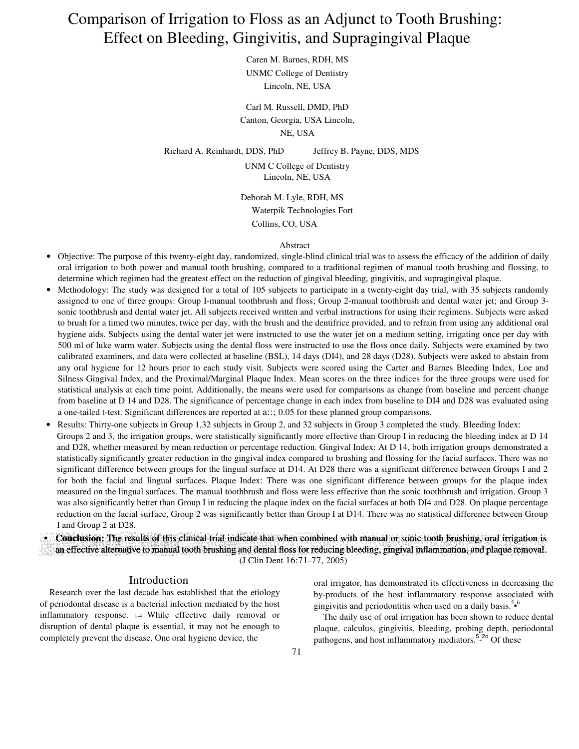# Comparison of Irrigation to Floss as an Adjunct to Tooth Brushing: Effect on Bleeding, Gingivitis, and Supragingival Plaque

Caren M. Barnes, RDH, MS UNMC College of Dentistry Lincoln, NE, USA

Carl M. Russell, DMD, PhD Canton, Georgia, USA Lincoln, NE, USA

Richard A. Reinhardt, DDS, PhD Jeffrey B. Payne, DDS, MDS

UNM C College of Dentistry Lincoln, NE, USA

Deborah M. Lyle, RDH, MS Waterpik Technologies Fort Collins, CO, USA

#### Abstract

- Objective: The purpose of this twenty-eight day, randomized, single-blind clinical trial was to assess the efficacy of the addition of daily oral irrigation to both power and manual tooth brushing, compared to a traditional regimen of manual tooth brushing and flossing, to determine which regimen had the greatest effect on the reduction of gingival bleeding, gingivitis, and supragingival plaque.
- Methodology: The study was designed for a total of 105 subjects to participate in a twenty-eight day trial, with 35 subjects randomly assigned to one of three groups: Group I-manual toothbrush and floss; Group 2-manual toothbrush and dental water jet; and Group 3 sonic toothbrush and dental water jet. All subjects received written and verbal instructions for using their regimens. Subjects were asked to brush for a timed two minutes, twice per day, with the brush and the dentifrice provided, and to refrain from using any additional oral hygiene aids. Subjects using the dental water jet were instructed to use the water jet on a medium setting, irrigating once per day with 500 ml of luke warm water. Subjects using the dental floss were instructed to use the floss once daily. Subjects were examined by two calibrated examiners, and data were collected at baseline (BSL), 14 days (DI4), and 28 days (D28). Subjects were asked to abstain from any oral hygiene for 12 hours prior to each study visit. Subjects were scored using the Carter and Barnes Bleeding Index, Loe and Silness Gingival Index, and the Proximal/Marginal Plaque Index. Mean scores on the three indices for the three groups were used for statistical analysis at each time point. Additionally, the means were used for comparisons as change from baseline and percent change from baseline at D 14 and D28. The significance of percentage change in each index from baseline to DI4 and D28 was evaluated using a one-tailed t-test. Significant differences are reported at a::; 0.05 for these planned group comparisons.
- Results: Thirty-one subjects in Group 1,32 subjects in Group 2, and 32 subjects in Group 3 completed the study. Bleeding Index: Groups 2 and 3, the irrigation groups, were statistically significantly more effective than Group I in reducing the bleeding index at D 14 and D28, whether measured by mean reduction or percentage reduction. Gingival Index: At D 14, both irrigation groups demonstrated a statistically significantly greater reduction in the gingival index compared to brushing and flossing for the facial surfaces. There was no significant difference between groups for the lingual surface at D14. At D28 there was a significant difference between Groups I and 2 for both the facial and lingual surfaces. Plaque Index: There was one significant difference between groups for the plaque index measured on the lingual surfaces. The manual toothbrush and floss were less effective than the sonic toothbrush and irrigation. Group 3 was also significantly better than Group I in reducing the plaque index on the facial surfaces at both DI4 and D28. On plaque percentage reduction on the facial surface, Group 2 was significantly better than Group I at D14. There was no statistical difference between Group I and Group 2 at D28.
- **Conclusion:** The results of this clinical trial indicate that when combined with manual or sonic tooth brushing, oral irrigation is an effective alternative to manual tooth brushing and dental floss for reducing bleeding, gingival inflammation, and plaque removal. (J Clin Dent 16:71-77, 2005)

#### Introduction

Research over the last decade has established that the etiology of periodontal disease is a bacterial infection mediated by the host inflammatory response. 1-4 While effective daily removal or disruption of dental plaque is essential, it may not be enough to completely prevent the disease. One oral hygiene device, the

oral irrigator, has demonstrated its effectiveness in decreasing the by-products of the host inflammatory response associated with gingivitis and periodontitis when used on a daily basis.<sup>5</sup>•<sup>6</sup>

The daily use of oral irrigation has been shown to reduce dental plaque, calculus, gingivitis, bleeding, probing depth, periodontal pathogens, and host inflammatory mediators.<sup>5-20</sup> Of these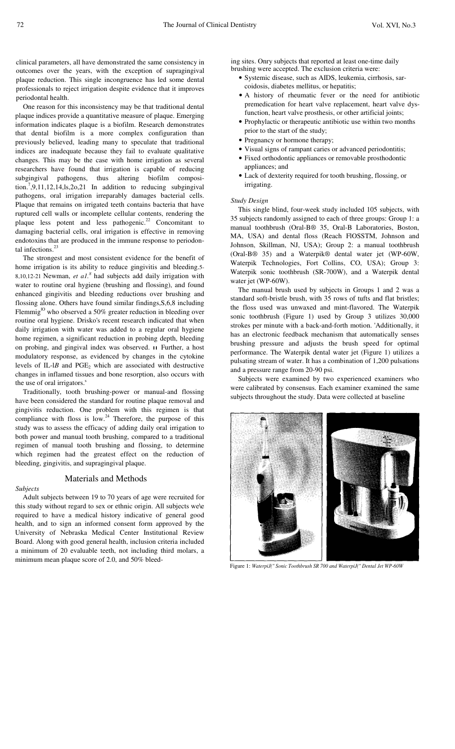clinical parameters, all have demonstrated the same consistency in outcomes over the years, with the exception of supragingival plaque reduction. This single incongruence has led some dental professionals to reject irrigation despite evidence that it improves periodontal health.

One reason for this inconsistency may be that traditional dental plaque indices provide a quantitative measure of plaque. Emerging information indicates plaque is a biofilm. Research demonstrates that dental biofilm is a more complex configuration than previously believed, leading many to speculate that traditional indices are inadequate because they fail to evaluate qualitative changes. This may be the case with home irrigation as several researchers have found that irrigation is capable of reducing subgingival pathogens, thus altering biofilm composi- $\{\text{tion.}^7, 9, 11, 12, 14, 1s, 2o, 21\}$  In addition to reducing subgingival pathogens, oral irrigation irreparably damages bacterial cells. Plaque that remains on irrigated teeth contains bacteria that have ruptured cell walls or incomplete cellular contents, rendering the plaque less potent and less pathogenic.<sup>22</sup> Concomitant to damaging bacterial cells, oral irrigation is effective in removing endotoxins that are produced in the immune response to periodontal infections.<sup>23</sup>

The strongest and most consistent evidence for the benefit of home irrigation is its ability to reduce gingivitis and bleeding.5- 8,10,12-21 Newman, *et a1.<sup>8</sup>* had subjects add daily irrigation with water to routine oral hygiene (brushing and flossing), and found enhanced gingivitis and bleeding reductions over brushing and flossing alone. Others have found similar findings,S,6,8 including Flemmig<sup>10</sup> who observed a 50% greater reduction in bleeding over routine oral hygiene. Drisko's recent research indicated that when daily irrigation with water was added to a regular oral hygiene home regimen, a significant reduction in probing depth, bleeding on probing, and gingival index was observed. II Further, a host modulatory response, as evidenced by changes in the cytokine levels of IL- $\overline{1}B$  and  $\overline{PGE}_2$  which are associated with destructive changes in inflamed tissues and bone resorption, also occurs with the use of oral irrigators.<sup>s</sup>

Traditionally, tooth brushing-power or manual-and flossing have been considered the standard for routine plaque removal and gingivitis reduction. One problem with this regimen is that compliance with floss is  $low.^{24}$  Therefore, the purpose of this study was to assess the efficacy of adding daily oral irrigation to both power and manual tooth brushing, compared to a traditional regimen of manual tooth brushing and flossing, to determine which regimen had the greatest effect on the reduction of bleeding, gingivitis, and supragingival plaque.

# Materials and Methods

# *Subjects*

Adult subjects between 19 to 70 years of age were recruited for this study without regard to sex or ethnic origin. All subjects we\e required to have a medical history indicative of general good health, and to sign an informed consent form approved by the University of Nebraska Medical Center Institutional Review Board. Along with good general health, inclusion criteria included a minimum of 20 evaluable teeth, not including third molars, a minimum mean plaque score of 2.0, and 50% bleeding sites. Onry subjects that reported at least one-time daily brushing were accepted. The exclusion criteria were:

- Systemic disease, such as AIDS, leukemia, cirrhosis, sarcoidosis, diabetes mellitus, or hepatitis;
- A history of rheumatic fever or the need for antibiotic premedication for heart valve replacement, heart valve dysfunction, heart valve prosthesis, or other artificial joints;
- Prophylactic or therapeutic antibiotic use within two months prior to the start of the study;
- Pregnancy or hormone therapy;
- Visual signs of rampant caries or advanced periodontitis;
- Fixed orthodontic appliances or removable prosthodontic appliances; and
- Lack of dexterity required for tooth brushing, flossing, or irrigating.

#### *Study Design*

This single blind, four-week study included 105 subjects, with 35 subjects randomly assigned to each of three groups: Group 1: a manual toothbrush (Oral-B® 35, Oral-B Laboratories, Boston, MA, USA) and dental floss (Reach FlOSSTM, Johnson and Johnson, Skillman, NJ, USA); Group 2: a manual toothbrush (Oral-B® 35) and a Waterpik® dental water jet (WP-60W, Waterpik Technologies, Fort Collins, CO, USA); Group 3: Waterpik sonic toothbrush (SR-700W), and a Waterpik dental water jet (WP-60W).

The manual brush used by subjects in Groups 1 and 2 was a standard soft-bristle brush, with 35 rows of tufts and flat bristles; the floss used was unwaxed and mint-flavored. The Waterpik sonic toothbrush (Figure 1) used by Group 3 utilizes 30,000 strokes per minute with a back-and-forth motion. 'Additionally, it has an electronic feedback mechanism that automatically senses brushing pressure and adjusts the brush speed for optimal performance. The Waterpik dental water jet (Figure 1) utilizes a pulsating stream of water. It has a combination of 1,200 pulsations and a pressure range from 20-90 psi.

Subjects were examined by two experienced examiners who were calibrated by consensus. Each examiner examined the same subjects throughout the study. Data were collected at baseline



Figure 1: *WaterpiJ(" Sonic Toothbrush SR 700 and WaterpiJ(" Dental Jet WP-60W*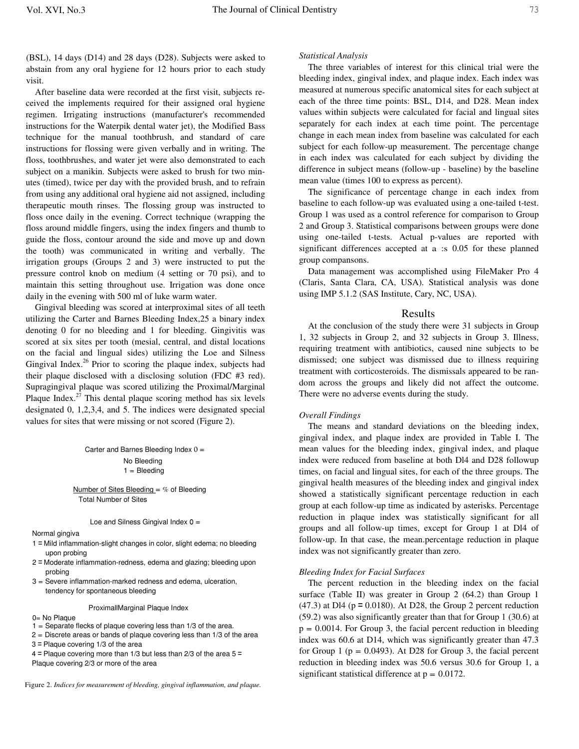(BSL), 14 days (D14) and 28 days (D28). Subjects were asked to abstain from any oral hygiene for 12 hours prior to each study visit.

After baseline data were recorded at the first visit, subjects received the implements required for their assigned oral hygiene regimen. Irrigating instructions (manufacturer's recommended instructions for the Waterpik dental water jet), the Modified Bass technique for the manual toothbrush, and standard of care instructions for flossing were given verbally and in writing. The floss, toothbrushes, and water jet were also demonstrated to each subject on a manikin. Subjects were asked to brush for two minutes (timed), twice per day with the provided brush, and to refrain from using any additional oral hygiene aid not assigned, including therapeutic mouth rinses. The flossing group was instructed to floss once daily in the evening. Correct technique (wrapping the floss around middle fingers, using the index fingers and thumb to guide the floss, contour around the side and move up and down the tooth) was communicated in writing and verbally. The irrigation groups (Groups 2 and 3) were instructed to put the pressure control knob on medium (4 setting or 70 psi), and to maintain this setting throughout use. Irrigation was done once daily in the evening with 500 ml of luke warm water.

Gingival bleeding was scored at interproximal sites of all teeth utilizing the Carter and Barnes Bleeding Index,25 a binary index denoting 0 for no bleeding and 1 for bleeding. Gingivitis was scored at six sites per tooth (mesial, central, and distal locations on the facial and lingual sides) utilizing the Loe and Silness Gingival Index. $^{26}$  Prior to scoring the plaque index, subjects had their plaque disclosed with a disclosing solution (FDC #3 red). Supragingival plaque was scored utilizing the Proximal/Marginal Plaque Index. $27$  This dental plaque scoring method has six levels designated 0, 1,2,3,4, and 5. The indices were designated special values for sites that were missing or not scored (Figure 2).

> Carter and Barnes Bleeding Index  $0 =$ No Bleeding  $1 = B$ leeding

Number of Sites Bleeding =  $%$  of Bleeding Total Number of Sites

#### Loe and Silness Gingival Index  $0 =$

Normal gingiva

- 1 = Mild inflammation-slight changes in color, slight edema; no bleeding upon probing
- 2 = Moderate inflammation-redness, edema and glazing; bleeding upon probing
- 3 = Severe inflammation-marked redness and edema, ulceration, tendency for spontaneous bleeding

ProximallMarginal Plaque Index

- 0= No Plaque
- $1 =$  Separate flecks of plaque covering less than  $1/3$  of the area.

2 = Discrete areas or bands of plaque covering less than 1/3 of the area

3 = Plaque covering 1/3 of the area

 $4$  = Plaque covering more than 1/3 but less than 2/3 of the area  $5 =$ Plaque covering 2/3 or more of the area



#### *Statistical Analysis*

The three variables of interest for this clinical trial were the bleeding index, gingival index, and plaque index. Each index was measured at numerous specific anatomical sites for each subject at each of the three time points: BSL, D14, and D28. Mean index values within subjects were calculated for facial and lingual sites separately for each index at each time point. The percentage change in each mean index from baseline was calculated for each subject for each follow-up measurement. The percentage change in each index was calculated for each subject by dividing the difference in subject means (follow-up - baseline) by the baseline mean value (times 100 to express as percent).

The significance of percentage change in each index from baseline to each follow-up was evaluated using a one-tailed t-test. Group 1 was used as a control reference for comparison to Group 2 and Group 3. Statistical comparisons between groups were done using one-tailed t-tests. Actual p-values are reported with significant differences accepted at a :s 0.05 for these planned group compansons.

Data management was accomplished using FileMaker Pro 4 (Claris, Santa Clara, CA, USA). Statistical analysis was done using IMP 5.1.2 (SAS Institute, Cary, NC, USA).

# Results

At the conclusion of the study there were 31 subjects in Group 1, 32 subjects in Group 2, and 32 subjects in Group 3. Illness, requiring treatment with antibiotics, caused nine subjects to be dismissed; one subject was dismissed due to illness requiring treatment with corticosteroids. The dismissals appeared to be random across the groups and likely did not affect the outcome. There were no adverse events during the study.

#### *Overall Findings*

The means and standard deviations on the bleeding index, gingival index, and plaque index are provided in Table I. The mean values for the bleeding index, gingival index, and plaque index were reduced from baseline at both Dl4 and D28 followup times, on facial and lingual sites, for each of the three groups. The gingival health measures of the bleeding index and gingival index showed a statistically significant percentage reduction in each group at each follow-up time as indicated by asterisks. Percentage reduction in plaque index was statistically significant for all groups and all follow-up times, except for Group 1 at Dl4 of follow-up. In that case, the mean.percentage reduction in plaque index was not significantly greater than zero.

#### *Bleeding Index for Facial Surfaces*

The percent reduction in the bleeding index on the facial surface (Table II) was greater in Group 2 (64.2) than Group 1  $(47.3)$  at Dl4 ( $p = 0.0180$ ). At D28, the Group 2 percent reduction (59.2) was also significantly greater than that for Group 1 (30.6) at  $p = 0.0014$ . For Group 3, the facial percent reduction in bleeding index was 60.6 at D14, which was significantly greater than 47.3 for Group 1 ( $p = 0.0493$ ). At D28 for Group 3, the facial percent reduction in bleeding index was 50.6 versus 30.6 for Group 1, a significant statistical difference at  $p = 0.0172$ .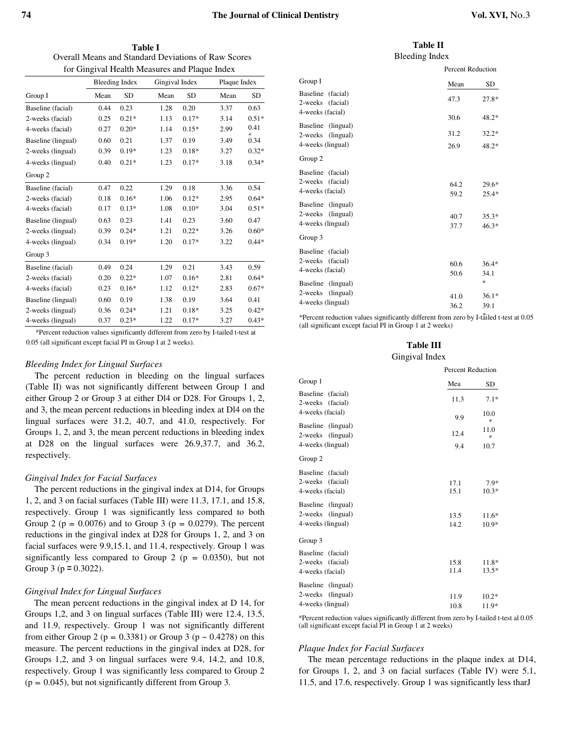**Table I** Overall Means and Standard Deviations of Raw Scores for Gingival Health Measures and Plaque Index

|                    |      | <b>Bleeding Index</b> | Gingival Index |           | Plaque Index |             |
|--------------------|------|-----------------------|----------------|-----------|--------------|-------------|
| Group I            | Mean | <b>SD</b>             | Mean           | <b>SD</b> | Mean         | <b>SD</b>   |
| Baseline (facial)  | 0.44 | 0.23                  | 1.28           | 0.20      | 3.37         | 0.63        |
| 2-weeks (facial)   | 0.25 | $0.21*$               | 1.13           | $0.17*$   | 3.14         | $0.51*$     |
| 4-weeks (facial)   | 0.27 | $0.20*$               | 1.14           | $0.15*$   | 2.99         | 0.41<br>sk. |
| Baseline (lingual) | 0.60 | 0.21                  | 1.37           | 0.19      | 3.49         | 0.34        |
| 2-weeks (lingual)  | 0.39 | $0.19*$               | 1.23           | $0.18*$   | 3.27         | $0.32*$     |
| 4-weeks (lingual)  | 0.40 | $0.21*$               | 1.23           | $0.17*$   | 3.18         | $0.34*$     |
| Group 2            |      |                       |                |           |              |             |
| Baseline (facial)  | 0.47 | 0.22                  | 1.29           | 0.18      | 3.36         | 0.54        |
| 2-weeks (facial)   | 0.18 | $0.16*$               | 1.06           | $0.12*$   | 2.95         | $0.64*$     |
| 4-weeks (facial)   | 0.17 | $0.13*$               | 1.08           | $0.10*$   | 3.04         | $0.51*$     |
| Baseline (lingual) | 0.63 | 0.23                  | 1.41           | 0.23      | 3.60         | 0.47        |
| 2-weeks (lingual)  | 0.39 | $0.24*$               | 1.21           | $0.22*$   | 3.26         | $0.60*$     |
| 4-weeks (lingual)  | 0.34 | $0.19*$               | 1.20           | $0.17*$   | 3.22         | $0.44*$     |
| Group 3            |      |                       |                |           |              |             |
| Baseline (facial)  | 0.49 | 0.24                  | 1.29           | 0.21      | 3.43         | 0.59        |
| 2-weeks (facial)   | 0.20 | $0.22*$               | 1.07           | $0.16*$   | 2.81         | $0.64*$     |
| 4-weeks (facial)   | 0.23 | $0.16*$               | 1.12           | $0.12*$   | 2.83         | $0.67*$     |
| Baseline (lingual) | 0.60 | 0.19                  | 1.38           | 0.19      | 3.64         | 0.41        |
| 2-weeks (lingual)  | 0.36 | $0.24*$               | 1.21           | $0.18*$   | 3.25         | $0.42*$     |
| 4-weeks (lingual)  | 0.37 | $0.23*$               | 1.22           | $0.17*$   | 3.27         | $0.43*$     |

\*Percent reduction values significantly different from zero by I-tailed t-test at 0.05 (all significant except facial PI in Group I at 2 weeks).

#### *Bleeding Index for Lingual Surfaces*

The percent reduction in bleeding on the lingual surfaces (Table II) was not significantly different between Group 1 and either Group 2 or Group 3 at either Dl4 or D28. For Groups 1, 2, and 3, the mean percent reductions in bleeding index at Dl4 on the lingual surfaces were 31.2, 40.7, and 41.0, respectively. For Groups 1, 2, and 3, the mean percent reductions in bleeding index at D28 on the lingual surfaces were 26.9,37.7, and 36.2, respectively.

#### *Gingival Index for Facial Surfaces*

The percent reductions in the gingival index at D14, for Groups 1, 2, and 3 on facial surfaces (Table III) were 11.3, 17.1, and 15.8, respectively. Group 1 was significantly less compared to both Group 2 ( $p = 0.0076$ ) and to Group 3 ( $p = 0.0279$ ). The percent reductions in the gingival index at D28 for Groups 1, 2, and 3 on facial surfaces were 9.9,15.1, and 11.4, respectively. Group 1 was significantly less compared to Group 2 ( $p = 0.0350$ ), but not Group 3 ( $p = 0.3022$ ).

#### *Gingival Index for Lingual Surfaces*

The mean percent reductions in the gingival index at D 14, for Groups 1,2, and 3 on lingual surfaces (Table III) were 12.4, 13.5, and 11.9, respectively. Group 1 was not significantly different from either Group 2 ( $p = 0.3381$ ) or Group 3 ( $p \sim 0.4278$ ) on this measure. The percent reductions in the gingival index at D28, for Groups 1,2, and 3 on lingual surfaces were 9.4, 14.2, and 10.8, respectively. Group 1 was significantly less compared to Group 2  $(p = 0.045)$ , but not significantly different from Group 3.

| Table II              |  |
|-----------------------|--|
| <b>Bleeding Index</b> |  |

|                                            |      | <b>Percent Reduction</b> |  |  |
|--------------------------------------------|------|--------------------------|--|--|
| Group I                                    | Mean | <b>SD</b>                |  |  |
| Baseline (facial)<br>2-weeks<br>(facial)   | 47.3 | $27.8*$                  |  |  |
| 4-weeks (facial)                           | 30.6 | 48.2*                    |  |  |
| Baseline (lingual)<br>2-weeks<br>(lingual) | 31.2 | $32.2*$                  |  |  |
| 4-weeks (lingual)                          | 26.9 | 48.2*                    |  |  |
| Group 2                                    |      |                          |  |  |
| Baseline (facial)<br>2-weeks<br>(facial)   |      |                          |  |  |
| 4-weeks (facial)                           | 64.2 | $29.6*$                  |  |  |
| Baseline (lingual)                         | 59.2 | $25.4*$                  |  |  |
| 2-weeks<br>(lingual)                       | 40.7 | 35.3*                    |  |  |
| 4-weeks (lingual)                          | 37.7 | $46.3*$                  |  |  |
| Group 3                                    |      |                          |  |  |
| Baseline (facial)                          |      |                          |  |  |
| (facial)<br>2-weeks                        | 60.6 | $36.4*$                  |  |  |
| 4-weeks (facial)                           | 50.6 | 34.1                     |  |  |
| Baseline (lingual)                         |      | *                        |  |  |
| 2-weeks<br>(lingual)                       | 41.0 | $36.1*$                  |  |  |
| 4-weeks (lingual)                          | 36.2 | 39.1                     |  |  |
|                                            |      |                          |  |  |

\* \*Percent reduction values significantly different from zero by I-tailed t-test at 0.05 (all significant except facial PI in Group 1 at 2 weeks)

# **Table III** Gingival Index

|                                                                        | <b>Percent Reduction</b> |                    |  |
|------------------------------------------------------------------------|--------------------------|--------------------|--|
| Group 1                                                                | Mea                      | <b>SD</b>          |  |
| Baseline<br>(facial)<br>2-weeks<br>(facial)                            | 11.3                     | $7.1*$             |  |
| 4-weeks (facial)                                                       | 9.9                      | 10.0<br>*          |  |
| Baseline (lingual)<br>2-weeks<br>(lingual)                             | 12.4                     | 11.0<br>*          |  |
| 4-weeks (lingual)                                                      | 9.4                      | 10.7               |  |
| Group 2                                                                |                          |                    |  |
| Baseline (facial)<br>(facial)<br>2-weeks<br>4-weeks (facial)           | 17.1<br>15.1             | $7.9*$<br>$10.3*$  |  |
| Baseline (lingual)<br>(lingual)<br>2-weeks<br>4-weeks (lingual)        | 13.5<br>14.2             | $11.6*$<br>$10.9*$ |  |
| Group 3                                                                |                          |                    |  |
| <b>Baseline</b><br>(facial)<br>2-weeks<br>(facial)<br>4-weeks (facial) | 15.8<br>11.4             | 11.8*<br>$13.5*$   |  |
| Baseline (lingual)<br>2-weeks<br>(lingual)<br>4-weeks (lingual)        | 11.9<br>10.8             | $10.2*$<br>$11.9*$ |  |

\*Percent reduction values significantly different from zero by I-tailed t-test al 0.05 (all significant except facial PI in Group 1 at 2 weeks)

#### *Plaque Index for Facial Surfaces*

The mean percentage reductions in the plaque index at D14, for Groups 1, 2, and 3 on facial surfaces (Table IV) were 5.1, 11.5, and 17.6, respectively. Group 1 was significantly less tharJ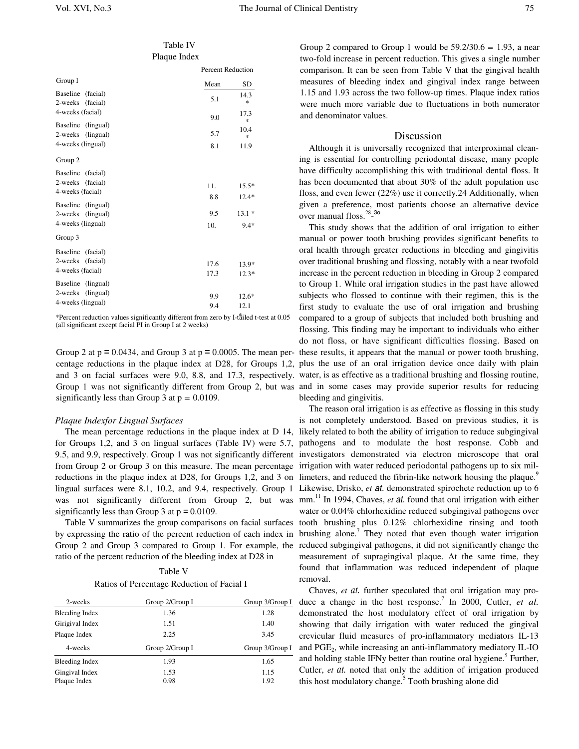|                                             | Plaque Index             |           |
|---------------------------------------------|--------------------------|-----------|
|                                             | <b>Percent Reduction</b> |           |
| Group I                                     | Mean                     | <b>SD</b> |
| Baseline<br>(facial)<br>2-weeks (facial)    | 5.1                      | 14.3<br>* |
| 4-weeks (facial)                            | 9.0                      | 17.3<br>* |
| Baseline (lingual)<br>(lingual)<br>2-weeks  | 5.7                      | 10.4<br>* |
| 4-weeks (lingual)                           | 8.1                      | 11.9      |
| Group 2                                     |                          |           |
| Baseline<br>(facial)<br>2-weeks<br>(facial) |                          |           |
| 4-weeks (facial)                            | 11.                      | $15.5*$   |
| Baseline (lingual)                          | 8.8                      | $12.4*$   |
| 2-weeks<br>(lingual)                        | 9.5                      | $13.1*$   |
| 4-weeks (lingual)                           | 10.                      | $9.4*$    |
| Group 3                                     |                          |           |
| Baseline<br>(facial)                        |                          |           |
| 2-weeks (facial)                            | 17.6                     | 13.9*     |
| 4-weeks (facial)                            | 17.3                     | $12.3*$   |
| Baseline<br>(lingual)                       |                          |           |
| (lingual)<br>2-weeks                        | 9.9                      | $12.6*$   |
| 4-weeks (lingual)                           | 9.4                      | 12.1      |

Table IV

\*Percent reduction values significantly different from zero by I-tailed t-test at 0.05 (all significant except facial PI in Group I at 2 weeks)

centage reductions in the plaque index at D28, for Groups 1,2, significantly less than Group 3 at  $p = 0.0109$ .

#### *Plaque Indexfor Lingual Surfaces*

9.5, and 9.9, respectively. Group 1 was not significantly different from Group 2 or Group 3 on this measure. The mean percentage reductions in the plaque index at D28, for Groups 1,2, and 3 on lingual surfaces were 8.1, 10.2, and 9.4, respectively. Group 1 was not significantly different from Group 2, but was significantly less than Group 3 at  $p = 0.0109$ .

Table V summarizes the group comparisons on facial surfaces by expressing the ratio of the percent reduction of each index in Group 2 and Group 3 compared to Group 1. For example, the ratio of the percent reduction of the bleeding index at D28 in

# Table V Ratios of Percentage Reduction of Facial I

| 2-weeks         | Group 2/Group I | Group 3/Group I |
|-----------------|-----------------|-----------------|
| Bleeding Index  | 1.36            | 1.28            |
| Girigival Index | 1.51            | 1.40            |
| Plaque Index    | 2.25            | 3.45            |
| 4-weeks         | Group 2/Group I | Group 3/Group I |
| Bleeding Index  | 1.93            | 1.65            |
| Gingival Index  | 1.53            | 1.15            |
|                 |                 |                 |
| Plaque Index    | 0.98            | 1.92            |

Group 2 compared to Group 1 would be  $59.2/30.6 = 1.93$ , a near two-fold increase in percent reduction. This gives a single number comparison. It can be seen from Table V that the gingival health measures of bleeding index and gingival index range between 1.15 and 1.93 across the two follow-up times. Plaque index ratios were much more variable due to fluctuations in both numerator and denominator values.

### Discussion

Although it is universally recognized that interproximal cleaning is essential for controlling periodontal disease, many people have difficulty accomplishing this with traditional dental floss. It has been documented that about 30% of the adult population use floss, and even fewer (22%) use it correctly.24 Additionally, when given a preference, most patients choose an alternative device over manual floss.<sup>28</sup>-<sup>30</sup>

Group 2 at  $p = 0.0434$ , and Group 3 at  $p = 0.0005$ . The mean per- these results, it appears that the manual or power tooth brushing, and 3 on facial surfaces were 9.0, 8.8, and 17.3, respectively. water, is as effective as a traditional brushing and flossing routine, Group 1 was not significantly different from Group 2, but was and in some cases may provide superior results for reducing This study shows that the addition of oral irrigation to either manual or power tooth brushing provides significant benefits to oral health through greater reductions in bleeding and gingivitis over traditional brushing and flossing, notably with a near twofold increase in the percent reduction in bleeding in Group 2 compared to Group 1. While oral irrigation studies in the past have allowed subjects who flossed to continue with their regimen, this is the first study to evaluate the use of oral irrigation and brushing compared to a group of subjects that included both brushing and flossing. This finding may be important to individuals who either do not floss, or have significant difficulties flossing. Based on plus the use of an oral irrigation device once daily with plain bleeding and gingivitis.

The mean percentage reductions in the plaque index at D 14, likely related to both the ability of irrigation to reduce subgingival for Groups 1,2, and 3 on lingual surfaces (Table IV) were 5.7, pathogens and to modulate the host response. Cobb and The reason oral irrigation is as effective as flossing in this study is not completely understood. Based on previous studies, it is investigators demonstrated via electron microscope that oral irrigation with water reduced periodontal pathogens up to six millimeters, and reduced the fibrin-like network housing the plaque.<sup>9</sup> Likewise, Drisko, *et* at. demonstrated spirochete reduction up to 6 mm.<sup>11</sup> In 1994, Chaves, *et at*. found that oral irrigation with either water or 0.04% chlorhexidine reduced subgingival pathogens over tooth brushing plus 0.12% chlorhexidine rinsing and tooth brushing alone.<sup>7</sup> They noted that even though water irrigation reduced subgingival pathogens, it did not significantly change the measurement of supragingival plaque. At the same time, they found that inflammation was reduced independent of plaque removal.

> Chaves, *et at.* further speculated that oral irrigation may produce a change in the host response.<sup>7</sup> In 2000, Cutler, et al. demonstrated the host modulatory effect of oral irrigation by showing that daily irrigation with water reduced the gingival crevicular fluid measures of pro-inflammatory mediators IL-13 and PGE<sub>2</sub>, while increasing an anti-inflammatory mediatory IL-IO and holding stable IFNy better than routine oral hygiene.<sup>5</sup> Further, Cutler, *et at.* noted that only the addition of irrigation produced this host modulatory change.<sup>5</sup> Tooth brushing alone did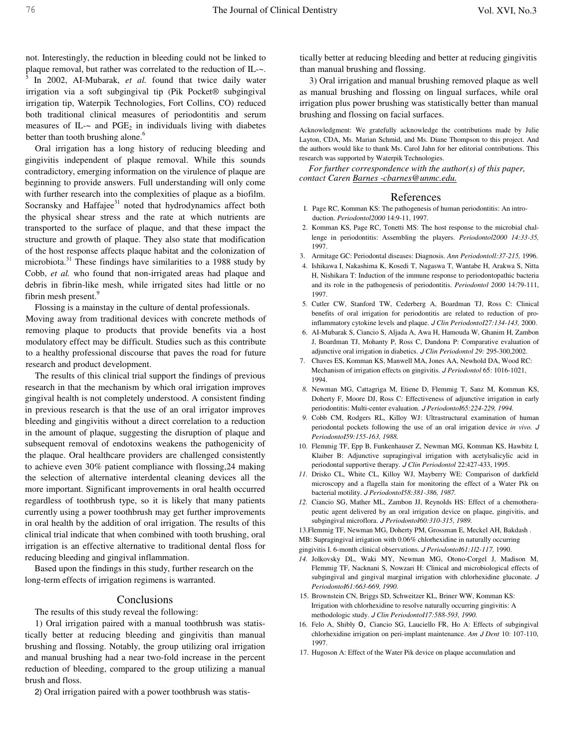not. Interestingly, the reduction in bleeding could not be linked to plaque removal, but rather was correlated to the reduction of IL-~. 5 In 2002, AI-Mubarak, *et al.* found that twice daily water irrigation via a soft subgingival tip (Pik Pocket® subgingival irrigation tip, Waterpik Technologies, Fort Collins, CO) reduced both traditional clinical measures of periodontitis and serum measures of  $IL \sim$  and  $PGE_2$  in individuals living with diabetes better than tooth brushing alone.<sup>6</sup>

Oral irrigation has a long history of reducing bleeding and gingivitis independent of plaque removal. While this sounds contradictory, emerging information on the virulence of plaque are beginning to provide answers. Full understanding will only come with further research into the complexities of plaque as a biofilm. Socransky and Haffajee $31$  noted that hydrodynamics affect both the physical shear stress and the rate at which nutrients are transported to the surface of plaque, and that these impact the structure and growth of plaque. They also state that modification of the host response affects plaque habitat and the colonization of microbiota. $31$  These findings have similarities to a 1988 study by Cobb, *et al.* who found that non-irrigated areas had plaque and debris in fibrin-like mesh, while irrigated sites had little or no fibrin mesh present.<sup>9</sup>

Flossing is a mainstay in the culture of dental professionals. Moving away from traditional devices with concrete methods of removing plaque to products that provide benefits via a host modulatory effect may be difficult. Studies such as this contribute to a healthy professional discourse that paves the road for future research and product development.

The results of this clinical trial support the findings of previous research in that the mechanism by which oral irrigation improves gingival health is not completely understood. A consistent finding in previous research is that the use of an oral irrigator improves bleeding and gingivitis without a direct correlation to a reduction in the amount of plaque, suggesting the disruption of plaque and subsequent removal of endotoxins weakens the pathogenicity of the plaque. Oral healthcare providers are challenged consistently to achieve even 30% patient compliance with flossing,24 making the selection of alternative interdental cleaning devices all the more important. Significant improvements in oral health occurred regardless of toothbrush type, so it is likely that many patients currently using a power toothbrush may get further improvements in oral health by the addition of oral irrigation. The results of this clinical trial indicate that when combined with tooth brushing, oral irrigation is an effective alternative to traditional dental floss for reducing bleeding and gingival inflammation.

Based upon the findings in this study, further research on the long-term effects of irrigation regimens is warranted.

# Conclusions

The results of this study reveal the following:

1) Oral irrigation paired with a manual toothbrush was statistically better at reducing bleeding and gingivitis than manual brushing and flossing. Notably, the group utilizing oral irrigation and manual brushing had a near two-fold increase in the percent reduction of bleeding, compared to the group utilizing a manual brush and floss.

2) Oral irrigation paired with a power toothbrush was statis-

tically better at reducing bleeding and better at reducing gingivitis than manual brushing and flossing.

3) Oral irrigation and manual brushing removed plaque as well as manual brushing and flossing on lingual surfaces, while oral irrigation plus power brushing was statistically better than manual brushing and flossing on facial surfaces.

Acknowledgment: We gratefully acknowledge the contributions made by Julie Layton, CDA, Ms. Marian Schmid, and Ms. Diane Thompson to this project. And the authors would like to thank Ms. Carol Jahn for her editorial contributions. This research was supported by Waterpik Technologies.

*For further correspondence with the author(s) of this paper, contact Caren Barnes -cbarnes@unmc.edu.*

# References

- I. Page RC, Komman KS: The pathogenesis of human periodontitis: An introduction. *Periodontol2000* 14:9-11, 1997.
- 2. Komman KS, Page RC, Tonetti MS: The host response to the microbial challenge in periodontitis: Assembling the players. *Periodontol2000 14:33-35,* 1997.
- 3. Armitage GC: Periodontal diseases: Diagnosis. *Ann Periodontoll:37-215,* 1996.
- 4. Ishikawa I, Nakashima K, Kosedi T, Nagaswa T, Wantabe H, Arakwa S, Nitta H, Nishikara T: Induction of the immune response to periodontopathic bacteria and its role in the pathogenesis of periodontitis. *Periodontol 2000* 14:79-111, 1997.
- 5. Cutler CW, Stanford TW, Cederberg A, Boardman TJ, Ross C: Clinical benefits of oral irrigation for periodontitis are related to reduction of proinflammatory cytokine levels and plaque. J *Clin PeriodontoI27:134-143,* 2000.
- 6. AI-Mubarak S, Ciancio S, Aljada A, Awa H, Hamouda W, Ghanim H, Zambon J, Boardman TJ, Mohanty P, Ross C, Dandona P: Comparative evaluation of adjunctive oral irrigation in diabetics. J *Clin Periodontol 29:* 295-300,2002.
- 7. Chaves ES, Komman KS, Manwell MA, Jones AA, Newhold DA, Wood RC: Mechanism of irrigation effects on gingivitis. J *Periodontol* 65: 1016-1021, 1994.
- *8.* Newman MG, Cattagriga M, Etiene D, Flemmig T, Sanz M, Komman KS, Doherty F, Moore DJ, Ross C: Effectiveness of adjunctive irrigation in early periodontitis: Multi-center evaluation. J *PeriodontoI65:224-229, 1994.*
- *9.* Cobb CM, Rodgers RL, Killoy WJ: Ultrastructural examination of human periodontal pockets following the use of an oral irrigation device *in vivo.* J *PeriodontoI59:155-163, 1988.*
- 10. Flemmig TF, Epp B, Funkenhauser Z, Newman MG, Komman KS, Hawbitz I, Klaiber B: Adjunctive supragingival irrigation with acetylsalicylic acid in periodontal supportive therapy. J *Clin Periodontol* 22:427-433, 1995.
- *11.* Drisko CL, White CL, Killoy WJ, Mayberry WE: Comparison of darkfield microscopy and a flagella stain for monitoring the effect of a Water Pik on bacterial motility. J *PeriodontoI58:381-386, 1987.*
- *12.* Ciancio SG, Mather ML, Zambon JJ, Reynolds HS: Effect of a chemotherapeutic agent delivered by an oral irrigation device on plaque, gingivitis, and subgingival microflora. J *PeriodontoI60:310-315, 1989.*

13.Flemmig TF, Newman MG, Doherty PM, Grossman E, Meckel AH, Bakdash . MB: Supragingival irrigation with 0.06% chlorhexidine in naturally occurring

gingivitis I. 6-month clinical observations. J *PeriodontoI61:1l2-117,* 1990.

- *14.* Jolkovsky DL, Waki MY, Newman MG, Otono-Corgel J, Madison M, Flemmig TF, Nacknani S, Nowzari H: Clinical and microbiological effects of subgingival and gingival marginal irrigation with chlorhexidine gluconate. J *PeriodontoI61:663-669, 1990.*
- 15. Brownstein CN, Briggs SD, Schweitzer KL, Briner WW, Komman KS: Irrigation with chlorhexidine to resolve naturally occurring gingivitis: A methodologic study. J *Clin PeriodontoI17:588-593, 1990.*
- 16. Felo A, Shibly 0, Ciancio SG, Lauciello FR, Ho A: Effects of subgingival chlorhexidine irrigation on peri-implant maintenance. *Am* J *Dent* 10: 107-110, 1997.
- 17. Hugoson A: Effect of the Water Pik device on plaque accumulation and